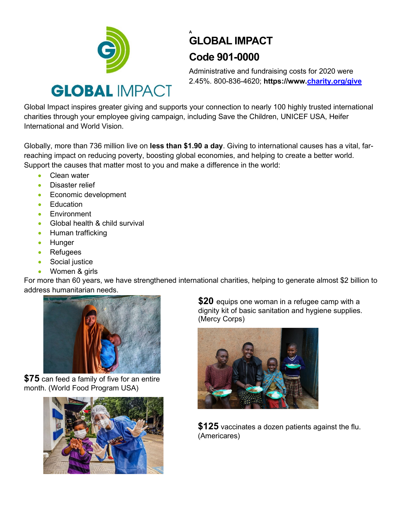

## **A GLOBAL IMPACT Code 901-0000**

Administrative and fundraising costs for 2020 were 2.45%. 800-836-4620; **https://www[.charity.org/give](http://www.charity.org/give)**

Global Impact inspires greater giving and supports your connection to nearly 100 highly trusted international charities through your employee giving campaign, including Save the Children, UNICEF USA, Heifer International and World Vision.

Globally, more than 736 million live on **less than \$1.90 a day**. Giving to international causes has a vital, farreaching impact on reducing poverty, boosting global economies, and helping to create a better world. Support the causes that matter most to you and make a difference in the world:

- Clean water
- Disaster relief
- Economic development
- Education
- Environment
- Global health & child survival
- Human trafficking
- Hunger
- Refugees
- Social justice
- Women & girls

For more than 60 years, we have strengthened international charities, helping to generate almost \$2 billion to address humanitarian needs.



**\$75** can feed a family of five for an entire month. (World Food Program USA)



**\$20** equips one woman in a refugee camp with a dignity kit of basic sanitation and hygiene supplies. (Mercy Corps)



**\$125** vaccinates a dozen patients against the flu. (Americares)